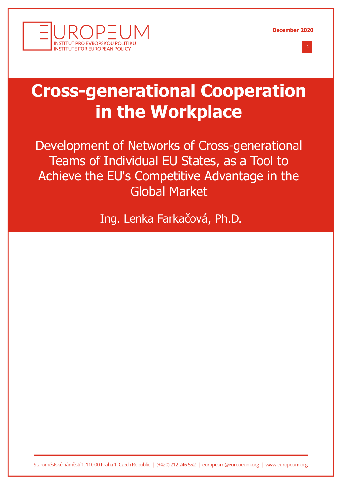





# **Cross-generational Cooperation in the Workplace**

Development of Networks of Cross-generational Teams of Individual EU States, as a Tool to Achieve the EU's Competitive Advantage in the Global Market

Ing. Lenka Farkačová, Ph.D.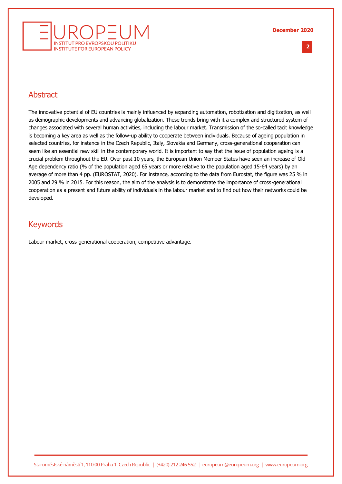

**2 %**

## Abstract

The innovative potential of EU countries is mainly influenced by expanding automation, robotization and digitization, as well as demographic developments and advancing globalization. These trends bring with it a complex and structured system of changes associated with several human activities, including the labour market. Transmission of the so-called tacit knowledge is becoming a key area as well as the follow-up ability to cooperate between individuals. Because of ageing population in selected countries, for instance in the Czech Republic, Italy, Slovakia and Germany, cross-generational cooperation can seem like an essential new skill in the contemporary world. It is important to say that the issue of population ageing is a crucial problem throughout the EU. Over past 10 years, the European Union Member States have seen an increase of Old Age dependency ratio (% of the population aged 65 years or more relative to the population aged 15-64 years) by an average of more than 4 pp. (EUROSTAT, 2020). For instance, according to the data from Eurostat, the figure was 25 % in 2005 and 29 % in 2015. For this reason, the aim of the analysis is to demonstrate the importance of cross-generational cooperation as a present and future ability of individuals in the labour market and to find out how their networks could be developed.

## Keywords

Labour market, cross-generational cooperation, competitive advantage.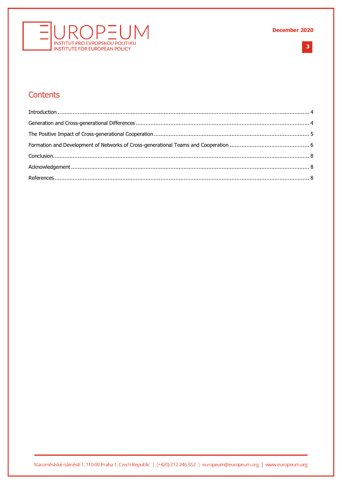

 $3<sup>1</sup>$ 

## Contents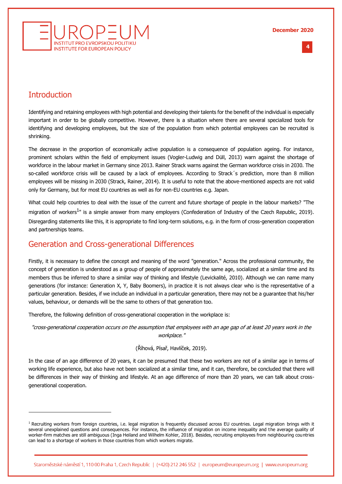

#### **4 %**

## <span id="page-3-0"></span>**Introduction**

Identifying and retaining employees with high potential and developing their talents for the benefit of the individual is especially important in order to be globally competitive. However, there is a situation where there are several specialized tools for identifying and developing employees, but the size of the population from which potential employees can be recruited is shrinking.

The decrease in the proportion of economically active population is a consequence of population ageing. For instance, prominent scholars within the field of employment issues (Vogler-Ludwig and Düll, 2013) warn against the shortage of workforce in the labour market in Germany since 2013. Rainer Strack warns against the German workforce crisis in 2030. The so-called workforce crisis will be caused by a lack of employees. According to Strack's prediction, more than 8 million employees will be missing in 2030 (Strack, Rainer, 2014). It is useful to note that the above-mentioned aspects are not valid only for Germany, but for most EU countries as well as for non-EU countries e.g. Japan.

What could help countries to deal with the issue of the current and future shortage of people in the labour markets? "The migration of workers<sup>1</sup>" is a simple answer from many employers (Confederation of Industry of the Czech Republic, 2019). Disregarding statements like this, it is appropriate to find long-term solutions, e.g. in the form of cross-generation cooperation and partnerships teams.

## <span id="page-3-1"></span>Generation and Cross-generational Differences

Firstly, it is necessary to define the concept and meaning of the word "generation." Across the professional community, the concept of generation is understood as a group of people of approximately the same age, socialized at a similar time and its members thus be inferred to share a similar way of thinking and lifestyle (Levickalité, 2010). Although we can name many generations (for instance: Generation X, Y, Baby Boomers), in practice it is not always clear who is the representative of a particular generation. Besides, if we include an individual in a particular generation, there may not be a guarantee that his/her values, behaviour, or demands will be the same to others of that generation too.

Therefore, the following definition of cross-generational cooperation in the workplace is:

"cross-generational cooperation occurs on the assumption that employees with an age gap of at least 20 years work in the workplace."

#### (Říhová, Písař, Havlíček, 2019).

In the case of an age difference of 20 years, it can be presumed that these two workers are not of a similar age in terms of working life experience, but also have not been socialized at a similar time, and it can, therefore, be concluded that there will be differences in their way of thinking and lifestyle. At an age difference of more than 20 years, we can talk about crossgenerational cooperation.

 $1$  Recruiting workers from foreign countries, i.e. legal migration is frequently discussed across EU countries. Legal migration brings with it several unexplained questions and consequences. For instance, the influence of migration on income inequality and the average quality of worker-firm matches are still ambiguous (Inga Heiland and Wilhelm Kohler, 2018). Besides, recruiting employees from neighbouring countries can lead to a shortage of workers in those countries from which workers migrate.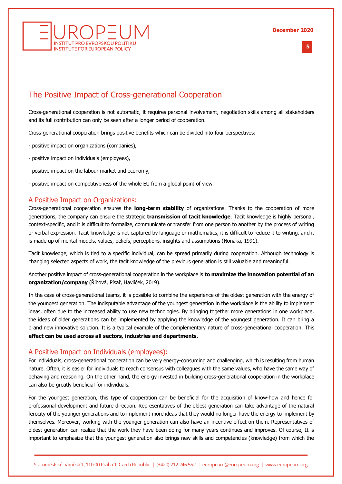



## <span id="page-4-0"></span>The Positive Impact of Cross-generational Cooperation

Cross-generational cooperation is not automatic, it requires personal involvement, negotiation skills among all stakeholders and its full contribution can only be seen after a longer period of cooperation.

Cross-generational cooperation brings positive benefits which can be divided into four perspectives:

- positive impact on organizations (companies),
- positive impact on individuals (employees),
- positive impact on the labour market and economy,
- positive impact on competitiveness of the whole EU from a global point of view.

### A Positive Impact on Organizations:

Cross-generational cooperation ensures the **long-term stability** of organizations. Thanks to the cooperation of more generations, the company can ensure the strategic **transmission of tacit knowledge**. Tacit knowledge is highly personal, context-specific, and it is difficult to formalize, communicate or transfer from one person to another by the process of writing or verbal expression. Tacit knowledge is not captured by language or mathematics, it is difficult to reduce it to writing, and it is made up of mental models, values, beliefs, perceptions, insights and assumptions (Nonaka, 1991).

Tacit knowledge, which is tied to a specific individual, can be spread primarily during cooperation. Although technology is changing selected aspects of work, the tacit knowledge of the previous generation is still valuable and meaningful.

Another positive impact of cross-generational cooperation in the workplace is **to maximize the innovation potential of an organization/company** (Říhová, Písař, Havlíček, 2019).

In the case of cross-generational teams, it is possible to combine the experience of the oldest generation with the energy of the youngest generation. The indisputable advantage of the youngest generation in the workplace is the ability to implement ideas, often due to the increased ability to use new technologies. By bringing together more generations in one workplace, the ideas of older generations can be implemented by applying the knowledge of the youngest generation. It can bring a brand new innovative solution. It is a typical example of the complementary nature of cross-generational cooperation. This **effect can be used across all sectors, industries and departments**.

#### A Positive Impact on Individuals (employees):

For individuals, cross-generational cooperation can be very energy-consuming and challenging, which is resulting from human nature. Often, it is easier for individuals to reach consensus with colleagues with the same values, who have the same way of behaving and reasoning. On the other hand, the energy invested in building cross-generational cooperation in the workplace can also be greatly beneficial for individuals.

For the youngest generation, this type of cooperation can be beneficial for the acquisition of know-how and hence for professional development and future direction. Representatives of the oldest generation can take advantage of the natural ferocity of the younger generations and to implement more ideas that they would no longer have the energy to implement by themselves. Moreover, working with the younger generation can also have an incentive effect on them. Representatives of oldest generation can realize that the work they have been doing for many years continues and improves. Of course, It is important to emphasize that the youngest generation also brings new skills and competencies (knowledge) from which the

**5 %**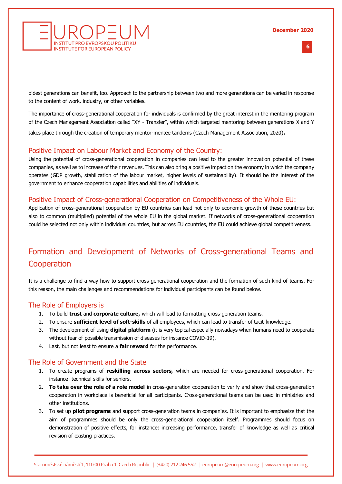

**6 %**

oldest generations can benefit, too. Approach to the partnership between two and more generations can be varied in response to the content of work, industry, or other variables.

The importance of cross-generational cooperation for individuals is confirmed by the great interest in the mentoring program of the Czech Management Association called "XY - Transfer", within which targeted mentoring between generations X and Y takes place through the creation of temporary mentor-mentee tandems (Czech Management Association, 2020).

### Positive Impact on Labour Market and Economy of the Country:

Using the potential of cross-generational cooperation in companies can lead to the greater innovation potential of these companies, as well as to increase of their revenues. This can also bring a positive impact on the economy in which the company operates (GDP growth, stabilization of the labour market, higher levels of sustainability). It should be the interest of the government to enhance cooperation capabilities and abilities of individuals.

#### Positive Impact of Cross-generational Cooperation on Competitiveness of the Whole EU:

Application of cross-generational cooperation by EU countries can lead not only to economic growth of these countries but also to common (multiplied) potential of the whole EU in the global market. If networks of cross-generational cooperation could be selected not only within individual countries, but across EU countries, the EU could achieve global competitiveness.

# <span id="page-5-0"></span>Formation and Development of Networks of Cross-generational Teams and **Cooperation**

It is a challenge to find a way how to support cross-generational cooperation and the formation of such kind of teams. For this reason, the main challenges and recommendations for individual participants can be found below.

#### The Role of Employers is

- 1. To build **trust** and **corporate culture,** which will lead to formatting cross-generation teams.
- 2. To ensure **sufficient level of soft-skills** of all employees, which can lead to transfer of tacit-knowledge.
- 3. The development of using **digital platform** (it is very topical especially nowadays when humans need to cooperate without fear of possible transmission of diseases for instance COVID-19).
- 4. Last, but not least to ensure a **fair reward** for the performance.

#### The Role of Government and the State

- 1. To create programs of **reskilling across sectors,** which are needed for cross-generational cooperation. For instance: technical skills for seniors.
- 2. **To take over the role of a role model** in cross-generation cooperation to verify and show that cross-generation cooperation in workplace is beneficial for all participants. Cross-generational teams can be used in ministries and other institutions.
- 3. To set up **pilot programs** and support cross-generation teams in companies. It is important to emphasize that the aim of programmes should be only the cross-generational cooperation itself. Programmes should focus on demonstration of positive effects, for instance: increasing performance, transfer of knowledge as well as critical revision of existing practices.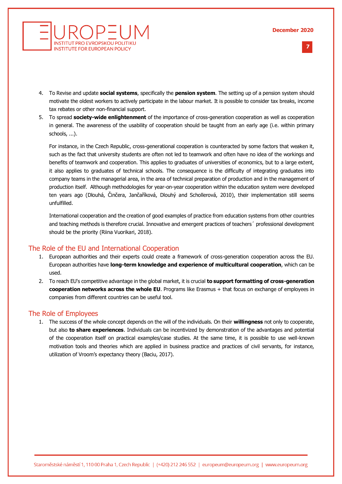#### **December 2020**



**7 %**

- 4. To Revise and update **social systems**, specifically the **pension system**. The setting up of a pension system should motivate the oldest workers to actively participate in the labour market. It is possible to consider tax breaks, income tax rebates or other non-financial support.
- 5. To spread **society-wide enlightenment** of the importance of cross-generation cooperation as well as cooperation in general. The awareness of the usability of cooperation should be taught from an early age (i.e. within primary schools, ...).

For instance, in the Czech Republic, cross-generational cooperation is counteracted by some factors that weaken it, such as the fact that university students are often not led to teamwork and often have no idea of the workings and benefits of teamwork and cooperation. This applies to graduates of universities of economics, but to a large extent, it also applies to graduates of technical schools. The consequence is the difficulty of integrating graduates into company teams in the managerial area, in the area of technical preparation of production and in the management of production itself. Although methodologies for year-on-year cooperation within the education system were developed ten years ago (Dlouhá, Činčera, Jančaříková, Dlouhý and Schollerová, 2010), their implementation still seems unfulfilled.

International cooperation and the creation of good examples of practice from education systems from other countries and teaching methods is therefore crucial. Innovative and emergent practices of teachers´ professional development should be the priority (Riina Vuorikari, 2018).

## The Role of the EU and International Cooperation

- 1. European authorities and their experts could create a framework of cross-generation cooperation across the EU. European authorities have **long-term knowledge and experience of multicultural cooperation**, which can be used.
- 2. To reach EU's competitive advantage in the global market, it is crucial **to support formatting of cross-generation cooperation networks across the whole EU**. Programs like Erasmus + that focus on exchange of employees in companies from different countries can be useful tool.

#### The Role of Employees

1. The success of the whole concept depends on the will of the individuals. On their **willingness** not only to cooperate, but also **to share experiences**. Individuals can be incentivized by demonstration of the advantages and potential of the cooperation itself on practical examples/case studies. At the same time, it is possible to use well-known motivation tools and theories which are applied in business practice and practices of civil servants, for instance, utilization of Vroom's expectancy theory (Baciu, 2017).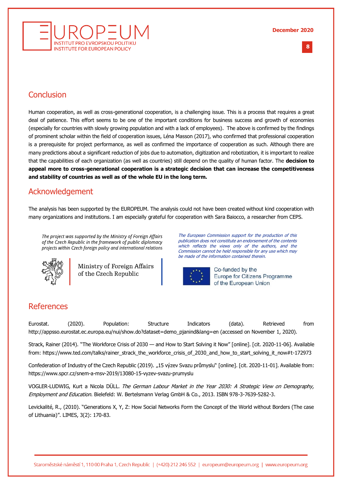

## <span id="page-7-0"></span>**Conclusion**

Human cooperation, as well as cross-generational cooperation, is a challenging issue. This is a process that requires a great deal of patience. This effort seems to be one of the important conditions for business success and growth of economies (especially for countries with slowly growing population and with a lack of employees). The above is confirmed by the findings of prominent scholar within the field of cooperation issues, Léna Masson (2017), who confirmed that professional cooperation is a prerequisite for project performance, as well as confirmed the importance of cooperation as such. Although there are many predictions about a significant reduction of jobs due to automation, digitization and robotization, it is important to realize that the capabilities of each organization (as well as countries) still depend on the quality of human factor. The **decision to appeal more to cross-generational cooperation is a strategic decision that can increase the competitiveness and stability of countries as well as of the whole EU in the long term.**

## <span id="page-7-1"></span>Acknowledgement

The analysis has been supported by the EUROPEUM. The analysis could not have been created without kind cooperation with many organizations and institutions. I am especially grateful for cooperation with Sara Baiocco, a researcher from CEPS.

The project was supported by the Ministry of Foreign Affairs of the Czech Republic in the framework of public diplomacy projects within Czech foreign policy and international relations



Ministry of Foreign Affairs of the Czech Republic

The European Commission support for the production of this publication does not constitute an endorsement of the contents which reflects the views only of the authors, and the Commission cannot be held responsible for any use which may be made of the information contained therein.



Co-funded by the Europe for Citizens Programme of the European Union

## <span id="page-7-2"></span>References

Eurostat. (2020). Population: Structure Indicators (data). Retrieved from http://appsso.eurostat.ec.europa.eu/nui/show.do?dataset=demo\_pjanind&lang=en (accessed on November 1, 2020).

Strack, Rainer (2014). "The Workforce Crisis of 2030 — and How to Start Solving it Now" [online]. [cit. 2020-11-06]. Available from: https://www.ted.com/talks/rainer\_strack\_the\_workforce\_crisis\_of\_2030\_and\_how\_to\_start\_solving\_it\_now#t-172973

Confederation of Industry of the Czech Republic (2019). "15 výzev Svazu průmyslu" [online]. [cit. 2020-11-01]. Available from: <https://www.spcr.cz/snem-a-msv-2019/13080-15-vyzev-svazu-prumyslu>

VOGLER-LUDWIG, Kurt a Nicola DÜLL. The German Labour Market in the Year 2030: A Strategic View on Demography, Employment and Education. Bielefeld: W. Bertelsmann Verlag GmbH & Co., 2013. ISBN 978-3-7639-5282-3.

Levickalité, R., (2010). "Generations X, Y, Z: How Social Networks Form the Concept of the World without Borders (The case of Lithuania)". LIMES, 3(2): 170-83.